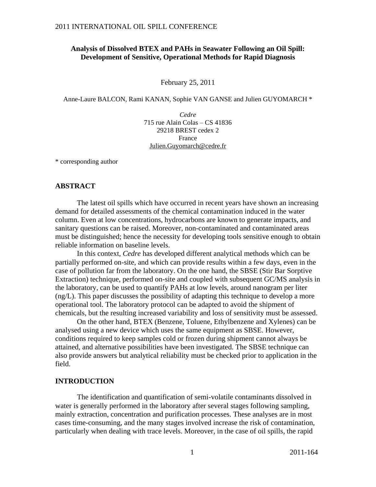## **Analysis of Dissolved BTEX and PAHs in Seawater Following an Oil Spill: Development of Sensitive, Operational Methods for Rapid Diagnosis**

February 25, 2011

Anne-Laure BALCON, Rami KANAN, Sophie VAN GANSE and Julien GUYOMARCH \*

*Cedre* 715 rue Alain Colas – CS 41836 29218 BREST cedex 2 France [Julien.Guyomarch@cedre.fr](mailto:Julien.Guyomarch@cedre.fr)

\* corresponding author

### **ABSTRACT**

The latest oil spills which have occurred in recent years have shown an increasing demand for detailed assessments of the chemical contamination induced in the water column. Even at low concentrations, hydrocarbons are known to generate impacts, and sanitary questions can be raised. Moreover, non-contaminated and contaminated areas must be distinguished; hence the necessity for developing tools sensitive enough to obtain reliable information on baseline levels.

In this context, *Cedre* has developed different analytical methods which can be partially performed on-site, and which can provide results within a few days, even in the case of pollution far from the laboratory. On the one hand, the SBSE (Stir Bar Sorptive Extraction) technique, performed on-site and coupled with subsequent GC/MS analysis in the laboratory, can be used to quantify PAHs at low levels, around nanogram per liter (ng/L). This paper discusses the possibility of adapting this technique to develop a more operational tool. The laboratory protocol can be adapted to avoid the shipment of chemicals, but the resulting increased variability and loss of sensitivity must be assessed.

On the other hand, BTEX (Benzene, Toluene, Ethylbenzene and Xylenes) can be analysed using a new device which uses the same equipment as SBSE. However, conditions required to keep samples cold or frozen during shipment cannot always be attained, and alternative possibilities have been investigated. The SBSE technique can also provide answers but analytical reliability must be checked prior to application in the field.

## **INTRODUCTION**

The identification and quantification of semi-volatile contaminants dissolved in water is generally performed in the laboratory after several stages following sampling, mainly extraction, concentration and purification processes. These analyses are in most cases time-consuming, and the many stages involved increase the risk of contamination, particularly when dealing with trace levels. Moreover, in the case of oil spills, the rapid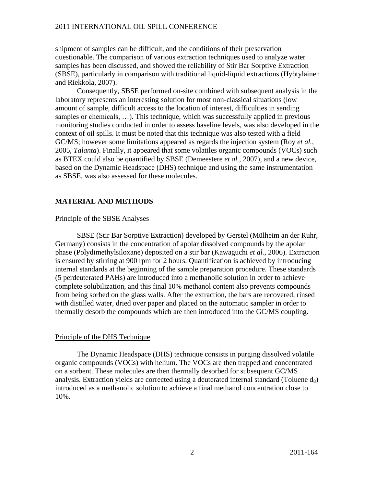shipment of samples can be difficult, and the conditions of their preservation questionable. The comparison of various extraction techniques used to analyze water samples has been discussed, and showed the reliability of Stir Bar Sorptive Extraction (SBSE), particularly in comparison with traditional liquid-liquid extractions (Hyötyläinen and Riekkola, 2007).

Consequently, SBSE performed on-site combined with subsequent analysis in the laboratory represents an interesting solution for most non-classical situations (low amount of sample, difficult access to the location of interest, difficulties in sending samples or chemicals, …). This technique, which was successfully applied in previous monitoring studies conducted in order to assess baseline levels, was also developed in the context of oil spills. It must be noted that this technique was also tested with a field GC/MS; however some limitations appeared as regards the injection system (Roy *et al.*, 2005, *Talanta*). Finally, it appeared that some volatiles organic compounds (VOCs) such as BTEX could also be quantified by SBSE (Demeestere *et al.*, 2007), and a new device, based on the Dynamic Headspace (DHS) technique and using the same instrumentation as SBSE, was also assessed for these molecules.

## **MATERIAL AND METHODS**

#### Principle of the SBSE Analyses

SBSE (Stir Bar Sorptive Extraction) developed by Gerstel (Mülheim an der Ruhr, Germany) consists in the concentration of apolar dissolved compounds by the apolar phase (Polydimethylsiloxane) deposited on a stir bar (Kawaguchi *et al.*, 2006). Extraction is ensured by stirring at 900 rpm for 2 hours. Quantification is achieved by introducing internal standards at the beginning of the sample preparation procedure. These standards (5 perdeuterated PAHs) are introduced into a methanolic solution in order to achieve complete solubilization, and this final 10% methanol content also prevents compounds from being sorbed on the glass walls. After the extraction, the bars are recovered, rinsed with distilled water, dried over paper and placed on the automatic sampler in order to thermally desorb the compounds which are then introduced into the GC/MS coupling.

## Principle of the DHS Technique

The Dynamic Headspace (DHS) technique consists in purging dissolved volatile organic compounds (VOCs) with helium. The VOCs are then trapped and concentrated on a sorbent. These molecules are then thermally desorbed for subsequent GC/MS analysis. Extraction yields are corrected using a deuterated internal standard (Toluene  $d_8$ ) introduced as a methanolic solution to achieve a final methanol concentration close to 10%.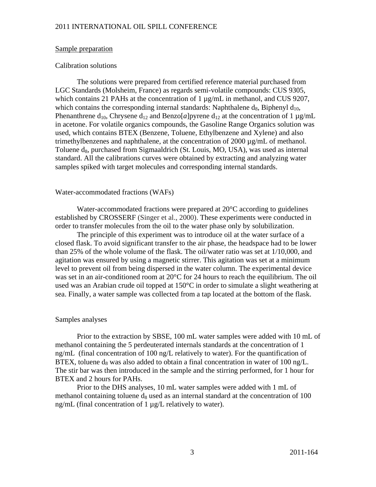## Sample preparation

### Calibration solutions

The solutions were prepared from certified reference material purchased from LGC Standards (Molsheim, France) as regards semi-volatile compounds: CUS 9305, which contains 21 PAHs at the concentration of 1  $\mu$ g/mL in methanol, and CUS 9207, which contains the corresponding internal standards: Naphthalene  $d_8$ , Biphenyl  $d_{10}$ , Phenanthrene  $d_{10}$ , Chrysene  $d_{12}$  and Benzo[a]pyrene  $d_{12}$  at the concentration of 1  $\mu$ g/mL in acetone. For volatile organics compounds, the Gasoline Range Organics solution was used, which contains BTEX (Benzene, Toluene, Ethylbenzene and Xylene) and also trimethylbenzenes and naphthalene, at the concentration of 2000 µg/mL of methanol. Toluene  $d_8$ , purchased from Sigmaaldrich (St. Louis, MO, USA), was used as internal standard. All the calibrations curves were obtained by extracting and analyzing water samples spiked with target molecules and corresponding internal standards.

### Water-accommodated fractions (WAFs)

Water-accommodated fractions were prepared at 20°C according to guidelines established by CROSSERF (Singer et al., 2000). These experiments were conducted in order to transfer molecules from the oil to the water phase only by solubilization.

The principle of this experiment was to introduce oil at the water surface of a closed flask. To avoid significant transfer to the air phase, the headspace had to be lower than 25% of the whole volume of the flask. The oil/water ratio was set at 1/10,000, and agitation was ensured by using a magnetic stirrer. This agitation was set at a minimum level to prevent oil from being dispersed in the water column. The experimental device was set in an air-conditioned room at 20°C for 24 hours to reach the equilibrium. The oil used was an Arabian crude oil topped at 150°C in order to simulate a slight weathering at sea. Finally, a water sample was collected from a tap located at the bottom of the flask.

## Samples analyses

Prior to the extraction by SBSE, 100 mL water samples were added with 10 mL of methanol containing the 5 perdeuterated internals standards at the concentration of 1 ng/mL (final concentration of 100 ng/L relatively to water). For the quantification of BTEX, toluene  $d_8$  was also added to obtain a final concentration in water of 100 ng/L. The stir bar was then introduced in the sample and the stirring performed, for 1 hour for BTEX and 2 hours for PAHs.

Prior to the DHS analyses, 10 mL water samples were added with 1 mL of methanol containing toluene  $d_8$  used as an internal standard at the concentration of 100 ng/mL (final concentration of 1 µg/L relatively to water).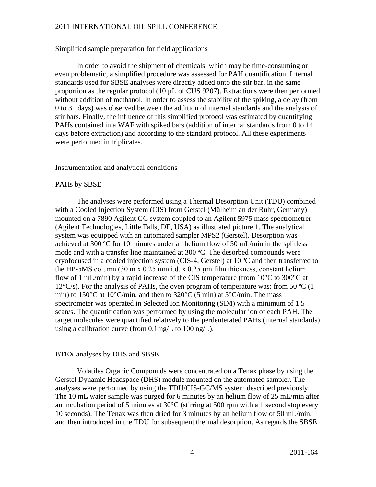Simplified sample preparation for field applications

In order to avoid the shipment of chemicals, which may be time-consuming or even problematic, a simplified procedure was assessed for PAH quantification. Internal standards used for SBSE analyses were directly added onto the stir bar, in the same proportion as the regular protocol (10 µL of CUS 9207). Extractions were then performed without addition of methanol. In order to assess the stability of the spiking, a delay (from 0 to 31 days) was observed between the addition of internal standards and the analysis of stir bars. Finally, the influence of this simplified protocol was estimated by quantifying PAHs contained in a WAF with spiked bars (addition of internal standards from 0 to 14 days before extraction) and according to the standard protocol. All these experiments were performed in triplicates.

## Instrumentation and analytical conditions

## PAHs by SBSE

The analyses were performed using a Thermal Desorption Unit (TDU) combined with a Cooled Injection System (CIS) from Gerstel (Mülheim an der Ruhr, Germany) mounted on a 7890 Agilent GC system coupled to an Agilent 5975 mass spectrometrer (Agilent Technologies, Little Falls, DE, USA) as illustrated picture 1. The analytical system was equipped with an automated sampler MPS2 (Gerstel). Desorption was achieved at 300 ºC for 10 minutes under an helium flow of 50 mL/min in the splitless mode and with a transfer line maintained at 300 ºC. The desorbed compounds were cryofocused in a cooled injection system (CIS-4, Gerstel) at  $10^{\circ}$ C and then transferred to the HP-5MS column  $(30 \text{ m} \times 0.25 \text{ mm} \text{ i.d.} \times 0.25 \text{ \mu m} \text{ film thickness, constant helium}$ flow of 1 mL/min) by a rapid increase of the CIS temperature (from  $10^{\circ}$ C to 300 $^{\circ}$ C at  $12^{\circ}$ C/s). For the analysis of PAHs, the oven program of temperature was: from 50  $^{\circ}$ C (1) min) to  $150^{\circ}$ C at  $10^{\circ}$ C/min, and then to  $320^{\circ}$ C (5 min) at  $5^{\circ}$ C/min. The mass spectrometer was operated in Selected Ion Monitoring (SIM) with a minimum of 1.5 scan/s. The quantification was performed by using the molecular ion of each PAH. The target molecules were quantified relatively to the perdeuterated PAHs (internal standards) using a calibration curve (from  $0.1$  ng/L to  $100$  ng/L).

## BTEX analyses by DHS and SBSE

Volatiles Organic Compounds were concentrated on a Tenax phase by using the Gerstel Dynamic Headspace (DHS) module mounted on the automated sampler. The analyses were performed by using the TDU/CIS-GC/MS system described previously. The 10 mL water sample was purged for 6 minutes by an helium flow of 25 mL/min after an incubation period of 5 minutes at 30°C (stirring at 500 rpm with a 1 second stop every 10 seconds). The Tenax was then dried for 3 minutes by an helium flow of 50 mL/min, and then introduced in the TDU for subsequent thermal desorption. As regards the SBSE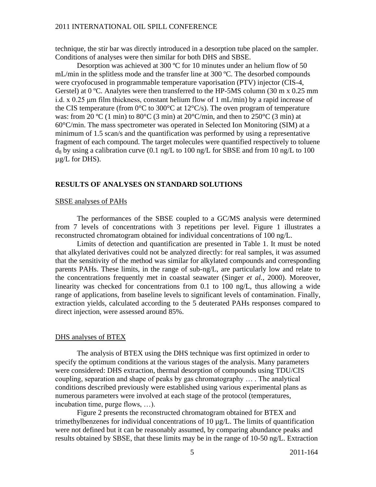technique, the stir bar was directly introduced in a desorption tube placed on the sampler. Conditions of analyses were then similar for both DHS and SBSE.

Desorption was achieved at 300 ºC for 10 minutes under an helium flow of 50 mL/min in the splitless mode and the transfer line at 300 ºC. The desorbed compounds were cryofocused in programmable temperature vaporisation (PTV) injector (CIS-4, Gerstel) at 0 °C. Analytes were then transferred to the HP-5MS column (30 m x 0.25 mm i.d. x  $0.25 \mu m$  film thickness, constant helium flow of 1 mL/min) by a rapid increase of the CIS temperature (from  $0^{\circ}$ C to 300 $^{\circ}$ C at 12 $^{\circ}$ C/s). The oven program of temperature was: from 20 °C (1 min) to 80 °C (3 min) at 20 °C/min, and then to 250 °C (3 min) at 60°C/min. The mass spectrometer was operated in Selected Ion Monitoring (SIM) at a minimum of 1.5 scan/s and the quantification was performed by using a representative fragment of each compound. The target molecules were quantified respectively to toluene  $d_8$  by using a calibration curve (0.1 ng/L to 100 ng/L for SBSE and from 10 ng/L to 100 µg/L for DHS).

## **RESULTS OF ANALYSES ON STANDARD SOLUTIONS**

## SBSE analyses of PAHs

The performances of the SBSE coupled to a GC/MS analysis were determined from 7 levels of concentrations with 3 repetitions per level. Figure 1 illustrates a reconstructed chromatogram obtained for individual concentrations of 100 ng/L.

Limits of detection and quantification are presented in Table 1. It must be noted that alkylated derivatives could not be analyzed directly: for real samples, it was assumed that the sensitivity of the method was similar for alkylated compounds and corresponding parents PAHs. These limits, in the range of sub-ng/L, are particularly low and relate to the concentrations frequently met in coastal seawater (Singer *et al.*, 2000). Moreover, linearity was checked for concentrations from 0.1 to 100 ng/L, thus allowing a wide range of applications, from baseline levels to significant levels of contamination. Finally, extraction yields, calculated according to the 5 deuterated PAHs responses compared to direct injection, were assessed around 85%.

#### DHS analyses of BTEX

The analysis of BTEX using the DHS technique was first optimized in order to specify the optimum conditions at the various stages of the analysis. Many parameters were considered: DHS extraction, thermal desorption of compounds using TDU/CIS coupling, separation and shape of peaks by gas chromatography … . The analytical conditions described previously were established using various experimental plans as numerous parameters were involved at each stage of the protocol (temperatures, incubation time, purge flows, …).

Figure 2 presents the reconstructed chromatogram obtained for BTEX and trimethylbenzenes for individual concentrations of 10  $\mu$ g/L. The limits of quantification were not defined but it can be reasonably assumed, by comparing abundance peaks and results obtained by SBSE, that these limits may be in the range of 10-50 ng/L. Extraction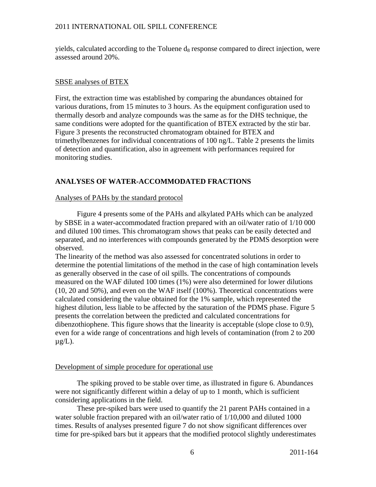yields, calculated according to the Toluene  $d_8$  response compared to direct injection, were assessed around 20%.

## SBSE analyses of BTEX

First, the extraction time was established by comparing the abundances obtained for various durations, from 15 minutes to 3 hours. As the equipment configuration used to thermally desorb and analyze compounds was the same as for the DHS technique, the same conditions were adopted for the quantification of BTEX extracted by the stir bar. Figure 3 presents the reconstructed chromatogram obtained for BTEX and trimethylbenzenes for individual concentrations of 100 ng/L. Table 2 presents the limits of detection and quantification, also in agreement with performances required for monitoring studies.

# **ANALYSES OF WATER-ACCOMMODATED FRACTIONS**

## Analyses of PAHs by the standard protocol

Figure 4 presents some of the PAHs and alkylated PAHs which can be analyzed by SBSE in a water-accommodated fraction prepared with an oil/water ratio of 1/10 000 and diluted 100 times. This chromatogram shows that peaks can be easily detected and separated, and no interferences with compounds generated by the PDMS desorption were observed.

The linearity of the method was also assessed for concentrated solutions in order to determine the potential limitations of the method in the case of high contamination levels as generally observed in the case of oil spills. The concentrations of compounds measured on the WAF diluted 100 times (1%) were also determined for lower dilutions (10, 20 and 50%), and even on the WAF itself (100%). Theoretical concentrations were calculated considering the value obtained for the 1% sample, which represented the highest dilution, less liable to be affected by the saturation of the PDMS phase. Figure 5 presents the correlation between the predicted and calculated concentrations for dibenzothiophene. This figure shows that the linearity is acceptable (slope close to 0.9), even for a wide range of concentrations and high levels of contamination (from 2 to 200  $\mu$ g/L).

## Development of simple procedure for operational use

The spiking proved to be stable over time, as illustrated in figure 6. Abundances were not significantly different within a delay of up to 1 month, which is sufficient considering applications in the field.

These pre-spiked bars were used to quantify the 21 parent PAHs contained in a water soluble fraction prepared with an oil/water ratio of 1/10,000 and diluted 1000 times. Results of analyses presented figure 7 do not show significant differences over time for pre-spiked bars but it appears that the modified protocol slightly underestimates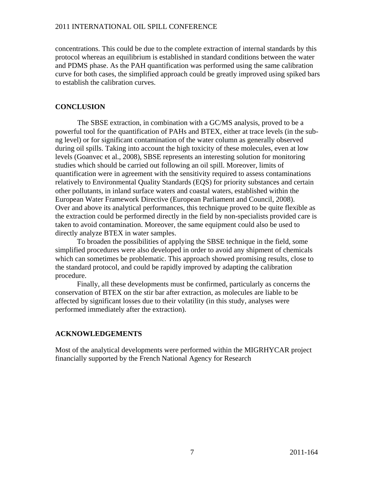concentrations. This could be due to the complete extraction of internal standards by this protocol whereas an equilibrium is established in standard conditions between the water and PDMS phase. As the PAH quantification was performed using the same calibration curve for both cases, the simplified approach could be greatly improved using spiked bars to establish the calibration curves.

# **CONCLUSION**

The SBSE extraction, in combination with a GC/MS analysis, proved to be a powerful tool for the quantification of PAHs and BTEX, either at trace levels (in the subng level) or for significant contamination of the water column as generally observed during oil spills. Taking into account the high toxicity of these molecules, even at low levels (Goanvec et al., 2008), SBSE represents an interesting solution for monitoring studies which should be carried out following an oil spill. Moreover, limits of quantification were in agreement with the sensitivity required to assess contaminations relatively to Environmental Quality Standards (EQS) for priority substances and certain other pollutants, in inland surface waters and coastal waters, established within the European Water Framework Directive (European Parliament and Council, 2008). Over and above its analytical performances, this technique proved to be quite flexible as the extraction could be performed directly in the field by non-specialists provided care is taken to avoid contamination. Moreover, the same equipment could also be used to directly analyze BTEX in water samples.

To broaden the possibilities of applying the SBSE technique in the field, some simplified procedures were also developed in order to avoid any shipment of chemicals which can sometimes be problematic. This approach showed promising results, close to the standard protocol, and could be rapidly improved by adapting the calibration procedure.

Finally, all these developments must be confirmed, particularly as concerns the conservation of BTEX on the stir bar after extraction, as molecules are liable to be affected by significant losses due to their volatility (in this study, analyses were performed immediately after the extraction).

# **ACKNOWLEDGEMENTS**

Most of the analytical developments were performed within the MIGRHYCAR project financially supported by the French National Agency for Research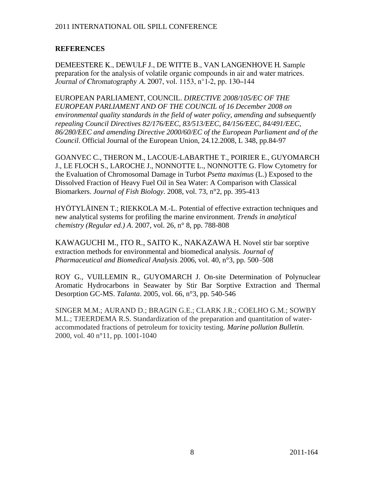# **REFERENCES**

DEMEESTERE K., DEWULF J., DE WITTE B., VAN LANGENHOVE H. Sample preparation for the analysis of volatile organic compounds in air and water matrices. Journal of Chromatography A. 2007, vol. 1153, n°1-2, pp. 130–144

EUROPEAN PARLIAMENT, COUNCIL. *DIRECTIVE 2008/105/EC OF THE EUROPEAN PARLIAMENT AND OF THE COUNCIL of 16 December 2008 on environmental quality standards in the field of water policy, amending and subsequently repealing Council Directives 82/176/EEC, 83/513/EEC, 84/156/EEC, 84/491/EEC, 86/280/EEC and amending Directive 2000/60/EC of the European Parliament and of the Council*. Official Journal of the European Union, 24.12.2008, L 348, pp.84-97

GOANVEC C., THERON M., LACOUE-LABARTHE T., POIRIER E., GUYOMARCH J., LE FLOCH S., LAROCHE J., NONNOTTE L., NONNOTTE G. Flow Cytometry for the Evaluation of Chromosomal Damage in Turbot *Psetta maximus* (L.) Exposed to the Dissolved Fraction of Heavy Fuel Oil in Sea Water: A Comparison with Classical Biomarkers. *Journal of Fish Biology*. 2008, vol. 73, n°2, pp. 395-413

HYÖTYLÄINEN T.; RIEKKOLA M.-L. Potential of effective extraction techniques and new analytical systems for profiling the marine environment. *Trends in analytical chemistry (Regular ed.) A*. 2007, vol. 26, n° 8, pp. 788-808

KAWAGUCHI M., ITO R., SAITO K., NAKAZAWA H. Novel stir bar sorptive extraction methods for environmental and biomedical analysis. *Journal of Pharmaceutical and Biomedical Analysis*. 2006, vol. 40, n°3, pp. 500–508

ROY G., VUILLEMIN R., GUYOMARCH J. On-site Determination of Polynuclear Aromatic Hydrocarbons in Seawater by Stir Bar Sorptive Extraction and Thermal Desorption GC-MS. *Talanta*. 2005, vol. 66, n°3, pp. 540-546

SINGER M.M.; AURAND D.; BRAGIN G.E.; CLARK J.R.; COELHO G.M.; SOWBY M.L.; TJEERDEMA R.S. Standardization of the preparation and quantitation of wateraccommodated fractions of petroleum for toxicity testing. *Marine pollution Bulletin.* 2000, vol. 40 n°11, pp. 1001-1040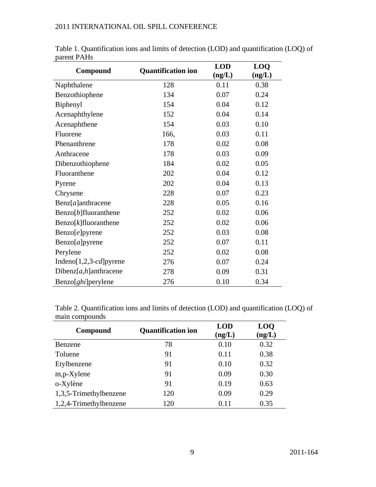| Compound                       | <b>Quantification ion</b> | <b>LOD</b><br>(ng/L) | <b>LOQ</b><br>(ng/L) |
|--------------------------------|---------------------------|----------------------|----------------------|
| Naphthalene                    | 128                       | 0.11                 | 0.38                 |
| Benzothiophene                 | 134                       | 0.07                 | 0.24                 |
| Biphenyl                       | 154                       | 0.04                 | 0.12                 |
| Acenaphthylene                 | 152                       | 0.04                 | 0.14                 |
| Acenaphthene                   | 154                       | 0.03                 | 0.10                 |
| Fluorene                       | 166,                      | 0.03                 | 0.11                 |
| Phenanthrene                   | 178                       | 0.02                 | 0.08                 |
| Anthracene                     | 178                       | 0.03                 | 0.09                 |
| Dibenzothiophene               | 184                       | 0.02                 | 0.05                 |
| Fluoranthene                   | 202                       | 0.04                 | 0.12                 |
| Pyrene                         | 202                       | 0.04                 | 0.13                 |
| Chrysene                       | 228                       | 0.07                 | 0.23                 |
| $\text{Benz}[a]$ anthracene    | 228                       | 0.05                 | 0.16                 |
| $\text{Benzo}[b]$ fluoranthene | 252                       | 0.02                 | 0.06                 |
| $\text{Benzo}[k]$ fluoranthene | 252                       | 0.02                 | 0.06                 |
| Benzo[e]pyrene                 | 252                       | 0.03                 | 0.08                 |
| Benzo[a]pyrene                 | 252                       | 0.07                 | 0.11                 |
| Perylene                       | 252                       | 0.02                 | 0.08                 |
| Indeno[1,2,3-cd]pyrene         | 276                       | 0.07                 | 0.24                 |
| Dibenz[ $a,h$ ]anthracene      | 278                       | 0.09                 | 0.31                 |
| Benzo[ghi]perylene             | 276                       | 0.10                 | 0.34                 |

Table 1. Quantification ions and limits of detection (LOD) and quantification (LOQ) of parent PAHs

Table 2. Quantification ions and limits of detection (LOD) and quantification (LOQ) of main compounds

| Compound               | <b>Quantification ion</b> | <b>LOD</b><br>(ng/L) | <b>LOQ</b><br>(ng/L) |
|------------------------|---------------------------|----------------------|----------------------|
| Benzene                | 78                        | 0.10                 | 0.32                 |
| Toluene                | 91                        | 0.11                 | 0.38                 |
| Etylbenzene            | 91                        | 0.10                 | 0.32                 |
| $m,p$ -Xylene          | 91                        | 0.09                 | 0.30                 |
| o-Xylène               | 91                        | 0.19                 | 0.63                 |
| 1,3,5-Trimethylbenzene | 120                       | 0.09                 | 0.29                 |
| 1,2,4-Trimethylbenzene | 120                       | 0.11                 | 0.35                 |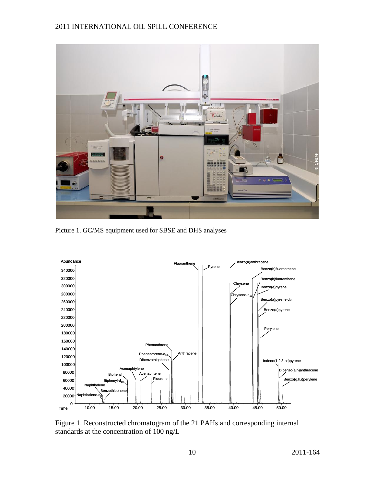

Picture 1. GC/MS equipment used for SBSE and DHS analyses



Figure 1. Reconstructed chromatogram of the 21 PAHs and corresponding internal standards at the concentration of 100 ng/L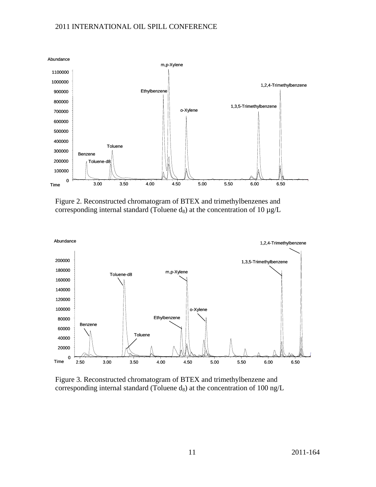

Figure 2. Reconstructed chromatogram of BTEX and trimethylbenzenes and corresponding internal standard (Toluene  $d_8$ ) at the concentration of 10  $\mu$ g/L



Figure 3. Reconstructed chromatogram of BTEX and trimethylbenzene and corresponding internal standard (Toluene  $d_8$ ) at the concentration of 100 ng/L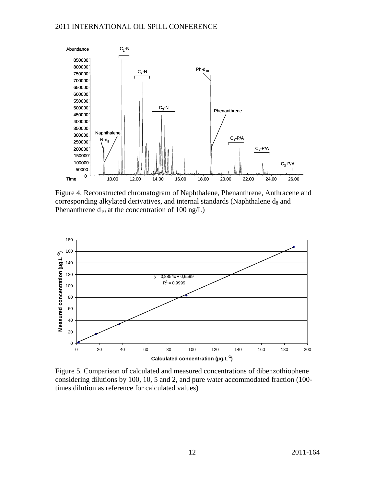

Figure 4. Reconstructed chromatogram of Naphthalene, Phenanthrene, Anthracene and corresponding alkylated derivatives, and internal standards (Naphthalene  $d_8$  and Phenanthrene  $d_{10}$  at the concentration of 100 ng/L)



Figure 5. Comparison of calculated and measured concentrations of dibenzothiophene considering dilutions by 100, 10, 5 and 2, and pure water accommodated fraction (100 times dilution as reference for calculated values)